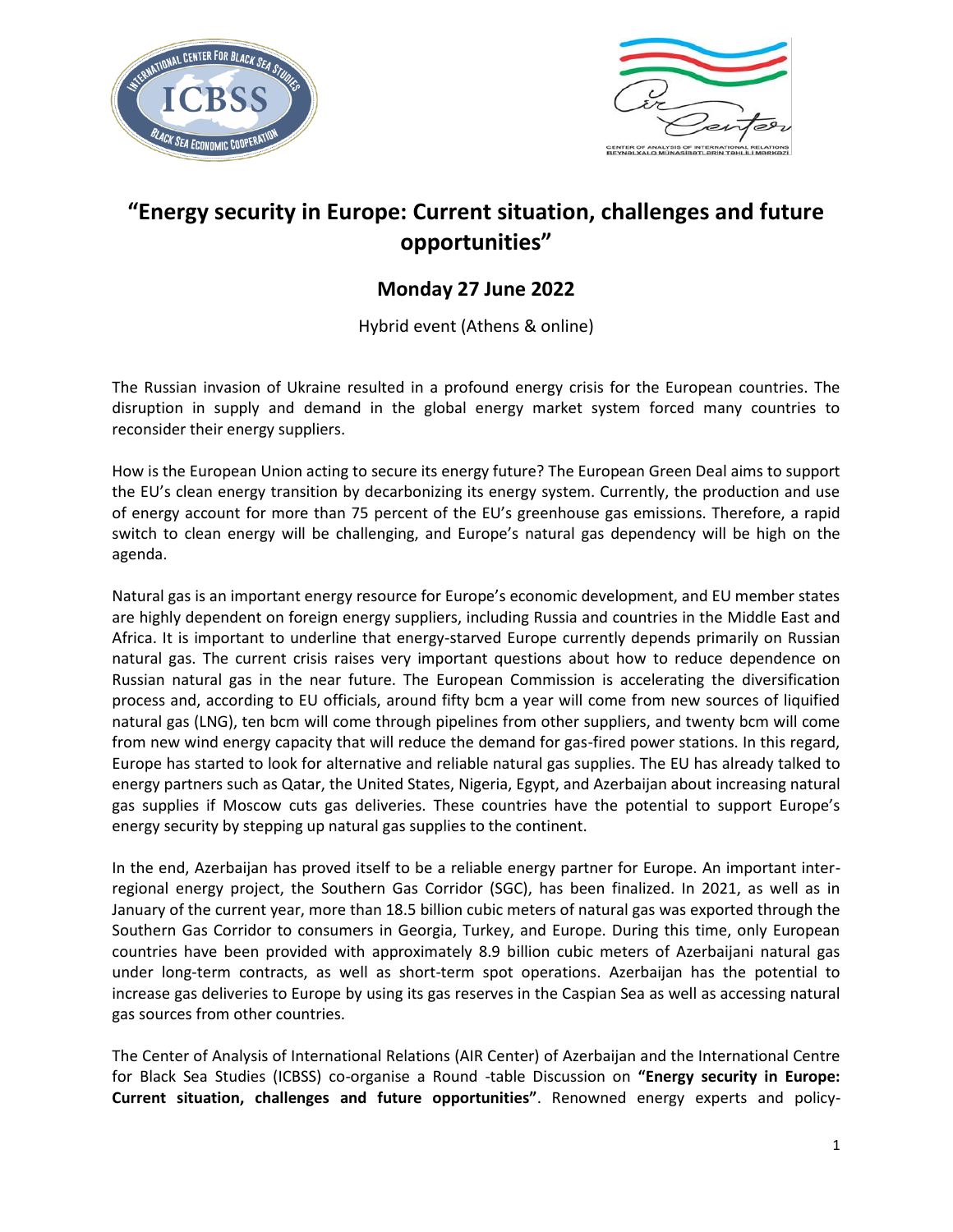



# **"Energy security in Europe: Current situation, challenges and future opportunities"**

## **Monday 27 June 2022**

Hybrid event (Athens & online)

The Russian invasion of Ukraine resulted in a profound energy crisis for the European countries. The disruption in supply and demand in the global energy market system forced many countries to reconsider their energy suppliers.

How is the European Union acting to secure its energy future? The European Green Deal aims to support the EU's clean energy transition by decarbonizing its energy system. Currently, the production and use of energy account for more than 75 percent of the EU's greenhouse gas emissions. Therefore, a rapid switch to clean energy will be challenging, and Europe's natural gas dependency will be high on the agenda.

Natural gas is an important energy resource for Europe's economic development, and EU member states are highly dependent on foreign energy suppliers, including Russia and countries in the Middle East and Africa. It is important to underline that energy-starved Europe currently depends primarily on Russian natural gas. The current crisis raises very important questions about how to reduce dependence on Russian natural gas in the near future. The European Commission is accelerating the diversification process and, according to EU officials, around fifty bcm a year will come from new sources of liquified natural gas (LNG), ten bcm will come through pipelines from other suppliers, and twenty bcm will come from new wind energy capacity that will reduce the demand for gas-fired power stations. In this regard, Europe has started to look for alternative and reliable natural gas supplies. The EU has already talked to energy partners such as Qatar, the United States, Nigeria, Egypt, and Azerbaijan about increasing natural gas supplies if Moscow cuts gas deliveries. These countries have the potential to support Europe's energy security by stepping up natural gas supplies to the continent.

In the end, Azerbaijan has proved itself to be a reliable energy partner for Europe. An important interregional energy project, the Southern Gas Corridor (SGC), has been finalized. In 2021, as well as in January of the current year, more than 18.5 billion cubic meters of natural gas was exported through the Southern Gas Corridor to consumers in Georgia, Turkey, and Europe. During this time, only European countries have been provided with approximately 8.9 billion cubic meters of Azerbaijani natural gas under long-term contracts, as well as short-term spot operations. Azerbaijan has the potential to increase gas deliveries to Europe by using its gas reserves in the Caspian Sea as well as accessing natural gas sources from other countries.

The Center of Analysis of International Relations (AIR Center) of Azerbaijan and the International Centre for Black Sea Studies (ICBSS) co-organise a Round -table Discussion on **"Energy security in Europe: Current situation, challenges and future opportunities"**. Renowned energy experts and policy-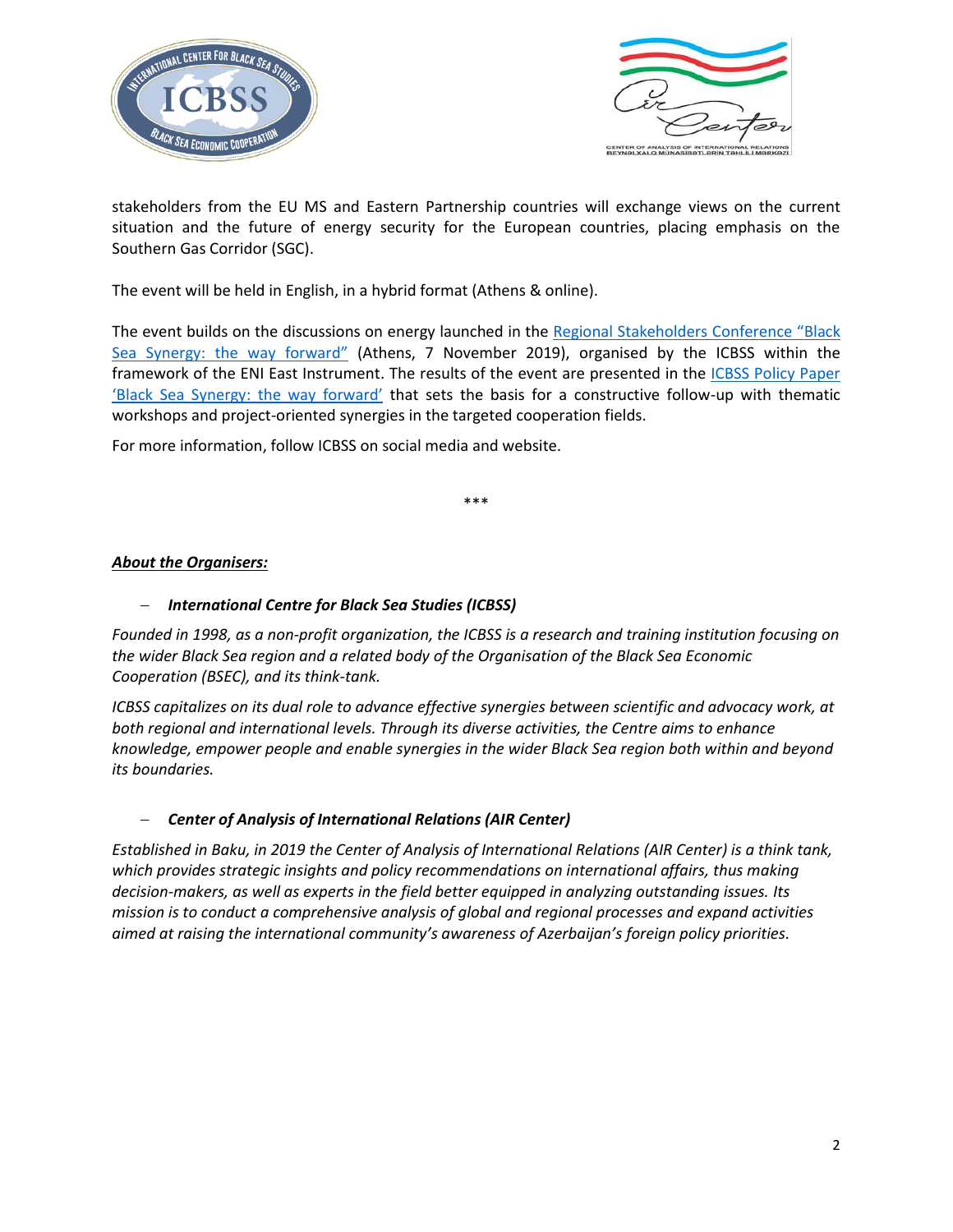



stakeholders from the EU MS and Eastern Partnership countries will exchange views on the current situation and the future of energy security for the European countries, placing emphasis on the Southern Gas Corridor (SGC).

The event will be held in English, in a hybrid format (Athens & online).

The event builds on the discussions on energy launched in the [Regional Stakeholders Conference](https://icbss.org/event/black-sea-synergy-the-way-forward/) "Black [Sea Synergy: the way forward](https://icbss.org/event/black-sea-synergy-the-way-forward/)" (Athens, 7 November 2019), organised by the ICBSS within the framework of the ENI East Instrument. The results of the event are presented in the [ICBSS Policy Paper](https://icbss.org/wp-content/uploads/2020/09/1977_original.pdf)  ['Black Sea Synergy: the way forward'](https://icbss.org/wp-content/uploads/2020/09/1977_original.pdf) that sets the basis for a constructive follow-up with thematic workshops and project-oriented synergies in the targeted cooperation fields.

For more information, follow ICBSS on social media and website.

\*\*\*

### *About the Organisers:*

### *International Centre for Black Sea Studies (ICBSS)*

*Founded in 1998, as a non-profit organization, the ICBSS is a research and training institution focusing on the wider Black Sea region and a related body of the Organisation of the Black Sea Economic Cooperation (BSEC), and its think-tank.* 

*ICBSS capitalizes on its dual role to advance effective synergies between scientific and advocacy work, at both regional and international levels. Through its diverse activities, the Centre aims to enhance knowledge, empower people and enable synergies in the wider Black Sea region both within and beyond its boundaries.*

#### *Center of Analysis of International Relations (AIR Center)*

*Established in Baku, in 2019 the Center of Analysis of International Relations (AIR Center) is a think tank, which provides strategic insights and policy recommendations on international affairs, thus making decision-makers, as well as experts in the field better equipped in analyzing outstanding issues. Its mission is to conduct a comprehensive analysis of global and regional processes and expand activities aimed at raising the international community's awareness of Azerbaijan's foreign policy priorities.*